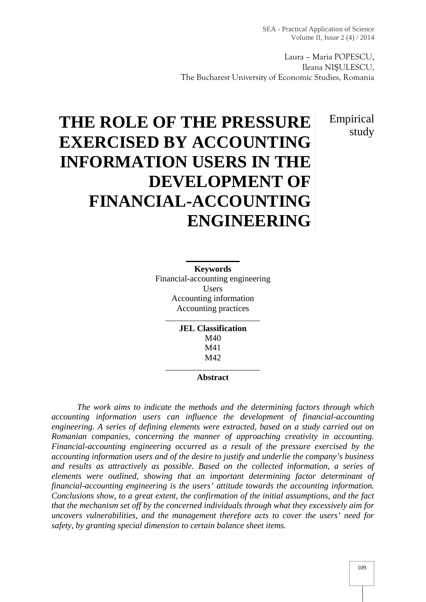Laura – Maria POPESCU, Ileana NI ULESCU, The Bucharest University of Economic Studies, Romania

> Empirical study

# **THE ROLE OF THE PRESSURE EXERCISED BY ACCOUNTING INFORMATION USERS IN THE DEVELOPMENT OF FINANCIAL-ACCOUNTING ENGINEERING**

**Keywords** Financial-accounting engineering Users Accounting information Accounting practices

> **JEL Classification** M40 M41 M42

> > **Abstract**

*The work aims to indicate the methods and the determining factors through which accounting information users can influence the development of financial-accounting engineering. A series of defining elements were extracted, based on a study carried out on Romanian companies, concerning the manner of approaching creativity in accounting. Financial-accounting engineering occurred as a result of the pressure exercised by the accounting information users and of the desire to justify and underlie the company's business and results as attractively as possible. Based on the collected information, a series of elements were outlined, showing that an important determining factor determinant of financial-accounting engineering is the users' attitude towards the accounting information. Conclusions show, to a great extent, the confirmation of the initial assumptions, and the fact that the mechanism set off by the concerned individuals through what they excessively aim for uncovers vulnerabilities, and the management therefore acts to cover the users' need for safety, by granting special dimension to certain balance sheet items.*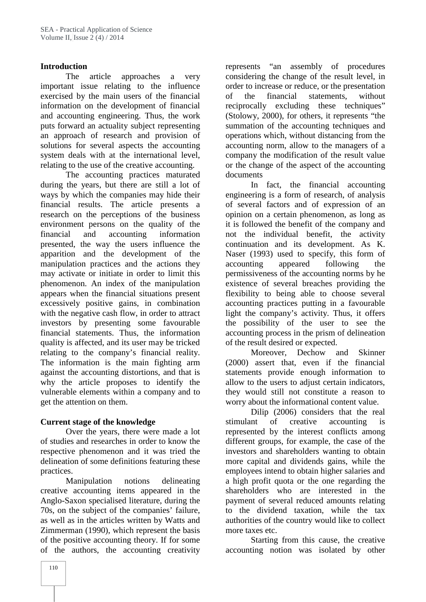### **Introduction**

The article approaches a very important issue relating to the influence exercised by the main users of the financial information on the development of financial and accounting engineering. Thus, the work puts forward an actuality subject representing an approach of research and provision of solutions for several aspects the accounting system deals with at the international level, relating to the use of the creative accounting.

The accounting practices maturated during the years, but there are still a lot of ways by which the companies may hide their financial results. The article presents a research on the perceptions of the business environment persons on the quality of the financial and accounting information presented, the way the users influence the apparition and the development of the manipulation practices and the actions they may activate or initiate in order to limit this phenomenon. An index of the manipulation appears when the financial situations present excessively positive gains, in combination with the negative cash flow, in order to attract investors by presenting some favourable financial statements. Thus, the information quality is affected, and its user may be tricked relating to the company's financial reality. The information is the main fighting arm against the accounting distortions, and that is why the article proposes to identify the vulnerable elements within a company and to get the attention on them.

# **Current stage of the knowledge**

Over the years, there were made a lot of studies and researches in order to know the respective phenomenon and it was tried the delineation of some definitions featuring these practices.

Manipulation notions delineating creative accounting items appeared in the Anglo-Saxon specialised literature, during the 70s, on the subject of the companies' failure, as well as in the articles written by Watts and Zimmerman (1990), which represent the basis of the positive accounting theory. If for some of the authors, the accounting creativity represents "an assembly of procedures considering the change of the result level, in order to increase or reduce, or the presentation of the financial statements, without reciprocally excluding these techniques" (Stolowy, 2000), for others, it represents "the summation of the accounting techniques and operations which, without distancing from the accounting norm, allow to the managers of a company the modification of the result value or the change of the aspect of the accounting documents

In fact, the financial accounting engineering is a form of research, of analysis of several factors and of expression of an opinion on a certain phenomenon, as long as it is followed the benefit of the company and not the individual benefit, the activity continuation and its development. As K. Naser (1993) used to specify, this form of accounting appeared following the permissiveness of the accounting norms by he existence of several breaches providing the flexibility to being able to choose several accounting practices putting in a favourable light the company's activity. Thus, it offers the possibility of the user to see the accounting process in the prism of delineation of the result desired or expected.

Moreover, Dechow and Skinner (2000) assert that, even if the financial statements provide enough information to allow to the users to adjust certain indicators, they would still not constitute a reason to worry about the informational content value.

Dilip (2006) considers that the real stimulant of creative accounting is represented by the interest conflicts among different groups, for example, the case of the investors and shareholders wanting to obtain more capital and dividends gains, while the employees intend to obtain higher salaries and a high profit quota or the one regarding the shareholders who are interested in the payment of several reduced amounts relating to the dividend taxation, while the tax authorities of the country would like to collect more taxes etc.

Starting from this cause, the creative accounting notion was isolated by other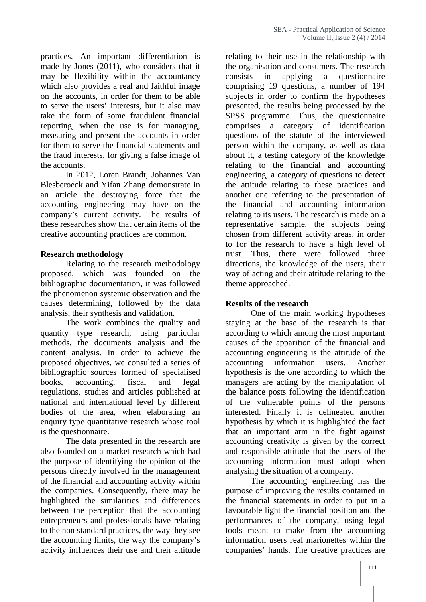practices. An important differentiation is made by Jones (2011), who considers that it may be flexibility within the accountancy which also provides a real and faithful image on the accounts, in order for them to be able to serve the users' interests, but it also may take the form of some fraudulent financial reporting, when the use is for managing, measuring and present the accounts in order for them to serve the financial statements and the fraud interests, for giving a false image of the accounts.

In 2012, Loren Brandt, Johannes Van Blesberoeck and Yifan Zhang demonstrate in an article the destroying force that the accounting engineering may have on the company's current activity. The results of these researches show that certain items of the creative accounting practices are common.

# **Research methodology**

Relating to the research methodology proposed, which was founded on the bibliographic documentation, it was followed the phenomenon systemic observation and the causes determining, followed by the data analysis, their synthesis and validation.

The work combines the quality and quantity type research, using particular methods, the documents analysis and the content analysis. In order to achieve the proposed objectives, we consulted a series of bibliographic sources formed of specialised books, accounting, fiscal and legal regulations, studies and articles published at national and international level by different bodies of the area, when elaborating an enquiry type quantitative research whose tool is the questionnaire.

The data presented in the research are also founded on a market research which had the purpose of identifying the opinion of the persons directly involved in the management of the financial and accounting activity within the companies. Consequently, there may be highlighted the similarities and differences between the perception that the accounting entrepreneurs and professionals have relating to the non standard practices, the way they see the accounting limits, the way the company's activity influences their use and their attitude

relating to their use in the relationship with the organisation and consumers. The research in applying a questionnaire comprising 19 questions, a number of 194 subjects in order to confirm the hypotheses presented, the results being processed by the SPSS programme. Thus, the questionnaire comprises a category of identification questions of the statute of the interviewed person within the company, as well as data about it, a testing category of the knowledge relating to the financial and accounting engineering, a category of questions to detect the attitude relating to these practices and another one referring to the presentation of the financial and accounting information relating to its users. The research is made on a representative sample, the subjects being chosen from different activity areas, in order to for the research to have a high level of trust. Thus, there were followed three directions, the knowledge of the users, their way of acting and their attitude relating to the theme approached.

#### **Results of the research**

One of the main working hypotheses staying at the base of the research is that according to which among the most important causes of the apparition of the financial and accounting engineering is the attitude of the accounting information users. Another hypothesis is the one according to which the managers are acting by the manipulation of the balance posts following the identification of the vulnerable points of the persons interested. Finally it is delineated another hypothesis by which it is highlighted the fact that an important arm in the fight against accounting creativity is given by the correct and responsible attitude that the users of the accounting information must adopt when analysing the situation of a company.

The accounting engineering has the purpose of improving the results contained in the financial statements in order to put in a favourable light the financial position and the performances of the company, using legal tools meant to make from the accounting information users real marionettes within the companies' hands. The creative practices are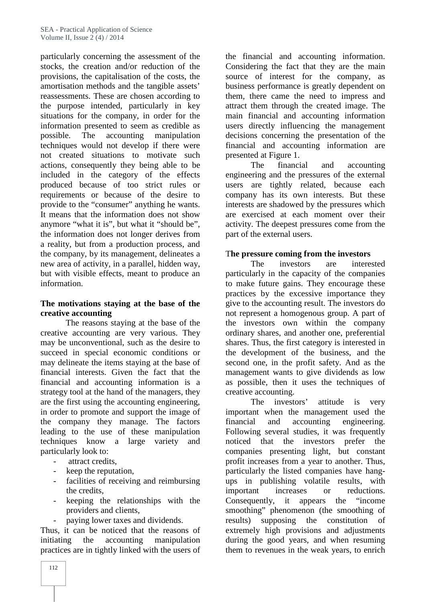particularly concerning the assessment of the stocks, the creation and/or reduction of the provisions, the capitalisation of the costs, the amortisation methods and the tangible assets' reassessments. These are chosen according to the purpose intended, particularly in key situations for the company, in order for the information presented to seem as credible as possible. The accounting manipulation techniques would not develop if there were not created situations to motivate such actions, consequently they being able to be included in the category of the effects produced because of too strict rules or requirements or because of the desire to provide to the "consumer" anything he wants. It means that the information does not show anymore "what it is", but what it "should be", the information does not longer derives from a reality, but from a production process, and the company, by its management, delineates a new area of activity, in a parallel, hidden way, but with visible effects, meant to produce an information.

### **The motivations staying at the base of the creative accounting**

The reasons staying at the base of the creative accounting are very various. They may be unconventional, such as the desire to succeed in special economic conditions or may delineate the items staying at the base of financial interests. Given the fact that the financial and accounting information is a strategy tool at the hand of the managers, they are the first using the accounting engineering, in order to promote and support the image of the company they manage. The factors leading to the use of these manipulation techniques know a large variety and particularly look to:

- attract credits.
- keep the reputation,
- facilities of receiving and reimbursing the credits,
- keeping the relationships with the providers and clients,
- paying lower taxes and dividends.

Thus, it can be noticed that the reasons of initiating the accounting manipulation practices are in tightly linked with the users of

the financial and accounting information. Considering the fact that they are the main source of interest for the company, as business performance is greatly dependent on them, there came the need to impress and attract them through the created image. The main financial and accounting information users directly influencing the management decisions concerning the presentation of the financial and accounting information are presented at Figure 1.

The financial and accounting engineering and the pressures of the external users are tightly related, because each company has its own interests. But these interests are shadowed by the pressures which are exercised at each moment over their activity. The deepest pressures come from the part of the external users.

### T**he pressure coming from the investors**

The investors are interested particularly in the capacity of the companies to make future gains. They encourage these practices by the excessive importance they give to the accounting result. The investors do not represent a homogenous group. A part of the investors own within the company ordinary shares, and another one, preferential shares. Thus, the first category is interested in the development of the business, and the second one, in the profit safety. And as the management wants to give dividends as low as possible, then it uses the techniques of creative accounting.

The investors' attitude is very important when the management used the financial and accounting engineering. Following several studies, it was frequently noticed that the investors prefer the companies presenting light, but constant profit increases from a year to another. Thus, particularly the listed companies have hang ups in publishing volatile results, with important increases or reductions. Consequently, it appears the "income smoothing" phenomenon (the smoothing of results) supposing the constitution of extremely high provisions and adjustments during the good years, and when resuming them to revenues in the weak years, to enrich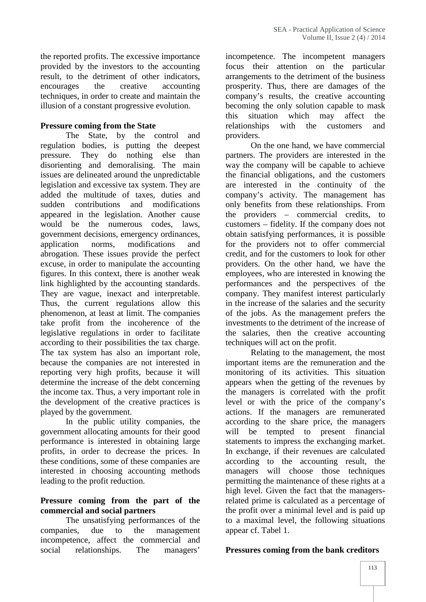the reported profits. The excessive importance provided by the investors to the accounting result, to the detriment of other indicators, encourages the creative accounting techniques, in order to create and maintain the illusion of a constant progressive evolution.

### **Pressure coming from the State**

The State, by the control and regulation bodies, is putting the deepest pressure. They do nothing else than disorienting and demoralising. The main issues are delineated around the unpredictable legislation and excessive tax system. They are added the multitude of taxes, duties and sudden contributions and modifications appeared in the legislation. Another cause would be the numerous codes, laws, government decisions, emergency ordinances, application norms, modifications and abrogation. These issues provide the perfect excuse, in order to manipulate the accounting figures. In this context, there is another weak link highlighted by the accounting standards. They are vague, inexact and interpretable. Thus, the current regulations allow this phenomenon, at least at limit. The companies take profit from the incoherence of the legislative regulations in order to facilitate according to their possibilities the tax charge. The tax system has also an important role, because the companies are not interested in reporting very high profits, because it will determine the increase of the debt concerning the income tax. Thus, a very important role in the development of the creative practices is played by the government.

In the public utility companies, the government allocating amounts for their good performance is interested in obtaining large profits, in order to decrease the prices. In these conditions, some of these companies are interested in choosing accounting methods leading to the profit reduction.

# **Pressure coming from the part of the commercial and social partners**

The unsatisfying performances of the companies, due to the management incompetence, affect the commercial and social relationships. The managers'

incompetence. The incompetent managers focus their attention on the particular arrangements to the detriment of the business prosperity. Thus, there are damages of the company's results, the creative accounting becoming the only solution capable to mask this situation which may affect the relationships with the customers and providers.

On the one hand, we have commercial partners. The providers are interested in the way the company will be capable to achieve the financial obligations, and the customers are interested in the continuity of the company's activity. The management has only benefits from these relationships. From the providers – commercial credits, to customers – fidelity. If the company does not obtain satisfying performances, it is possible for the providers not to offer commercial credit, and for the customers to look for other providers. On the other hand, we have the employees, who are interested in knowing the performances and the perspectives of the company. They manifest interest particularly in the increase of the salaries and the security of the jobs. As the management prefers the investments to the detriment of the increase of the salaries, then the creative accounting techniques will act on the profit.

Relating to the management, the most important items are the remuneration and the monitoring of its activities. This situation appears when the getting of the revenues by the managers is correlated with the profit level or with the price of the company's actions. If the managers are remunerated according to the share price, the managers tempted to present financial statements to impress the exchanging market. In exchange, if their revenues are calculated according to the accounting result, the managers will choose those techniques permitting the maintenance of these rights at a high level. Given the fact that the managersrelated prime is calculated as a percentage of the profit over a minimal level and is paid up to a maximal level, the following situations appear cf. Tabel 1.

#### **Pressures coming from the bank creditors**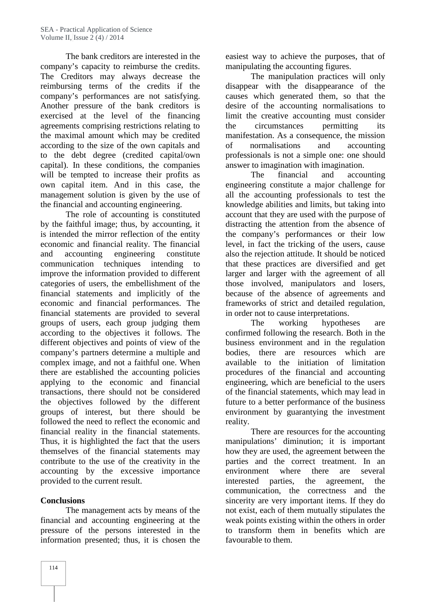The bank creditors are interested in the company's capacity to reimburse the credits. The Creditors may always decrease the reimbursing terms of the credits if the company's performances are not satisfying. Another pressure of the bank creditors is exercised at the level of the financing agreements comprising restrictions relating to the maximal amount which may be credited according to the size of the own capitals and to the debt degree (credited capital/own capital). In these conditions, the companies will be tempted to increase their profits as own capital item. And in this case, the management solution is given by the use of the financial and accounting engineering.

The role of accounting is constituted by the faithful image; thus, by accounting, it is intended the mirror reflection of the entity economic and financial reality. The financial and accounting engineering constitute communication techniques intending to improve the information provided to different categories of users, the embellishment of the financial statements and implicitly of the economic and financial performances. The financial statements are provided to several groups of users, each group judging them according to the objectives it follows. The different objectives and points of view of the company's partners determine a multiple and complex image, and not a faithful one. When there are established the accounting policies applying to the economic and financial transactions, there should not be considered the objectives followed by the different groups of interest, but there should be followed the need to reflect the economic and financial reality in the financial statements. Thus, it is highlighted the fact that the users themselves of the financial statements may contribute to the use of the creativity in the accounting by the excessive importance provided to the current result.

# **Conclusions**

The management acts by means of the financial and accounting engineering at the pressure of the persons interested in the information presented; thus, it is chosen the easiest way to achieve the purposes, that of manipulating the accounting figures.

The manipulation practices will only disappear with the disappearance of the causes which generated them, so that the desire of the accounting normalisations to limit the creative accounting must consider circumstances permitting its manifestation. As a consequence, the mission normalisations and accounting professionals is not a simple one: one should answer to imagination with imagination.

The financial and accounting engineering constitute a major challenge for all the accounting professionals to test the knowledge abilities and limits, but taking into account that they are used with the purpose of distracting the attention from the absence of the company's performances or their low level, in fact the tricking of the users, cause also the rejection attitude. It should be noticed that these practices are diversified and get larger and larger with the agreement of all those involved, manipulators and losers, because of the absence of agreements and frameworks of strict and detailed regulation, in order not to cause interpretations.

The working hypotheses are confirmed following the research. Both in the business environment and in the regulation bodies, there are resources which are available to the initiation of limitation procedures of the financial and accounting engineering, which are beneficial to the users of the financial statements, which may lead in future to a better performance of the business environment by guarantying the investment reality.

There are resources for the accounting manipulations' diminution; it is important how they are used, the agreement between the parties and the correct treatment. In an environment where there are several interested parties, the agreement, the communication, the correctness and the sincerity are very important items. If they do not exist, each of them mutually stipulates the weak points existing within the others in order to transform them in benefits which are favourable to them.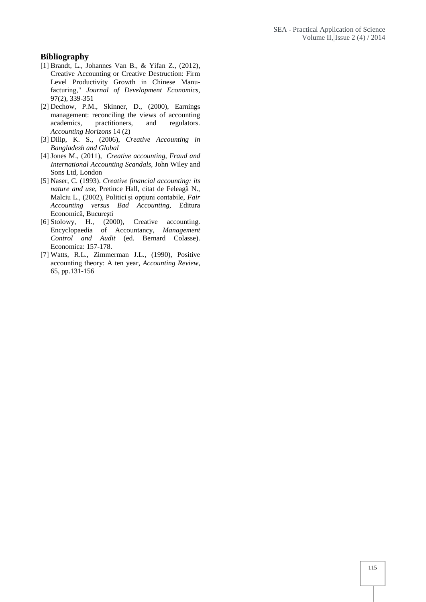#### **Bibliography**

- [1] Brandt, L., Johannes Van B., & Yifan Z., (2012), Creative Accounting or Creative Destruction: Firm Level Productivity Growth in Chinese Manufacturing," *Journal of Development Economics*, 97(2), 339-351
- [2] Dechow, P.M., Skinner, D., (2000), Earnings management: reconciling the views of accounting academics, practitioners, and regulators. *Accounting Horizons* 14 (2)
- [3] Dilip, K. S., (2006), *Creative Accounting in Bangladesh and Global*
- [4] Jones M., (2011), *Creative accounting, Fraud and International Accounting Scandals*, John Wiley and Sons Ltd, London
- [5] Naser, C. (1993). *Creative financial accounting: its nature and use*, Pretince Hall, citat de Feleagã N., Malciu L., (2002), Politici și opțiuni contabile, *Fair Accounting versus Bad Accounting*, Editura Economicã, Bucure ti
- [6] Stolowy, H., (2000), Creative accounting. Encyclopaedia of Accountancy, *Management Control and Audit* (ed. Bernard Colasse). Economica: 157-178.
- [7] Watts, R.L., Zimmerman J.L., (1990), Positive accounting theory: A ten year*, Accounting Review*, 65, pp.131-156